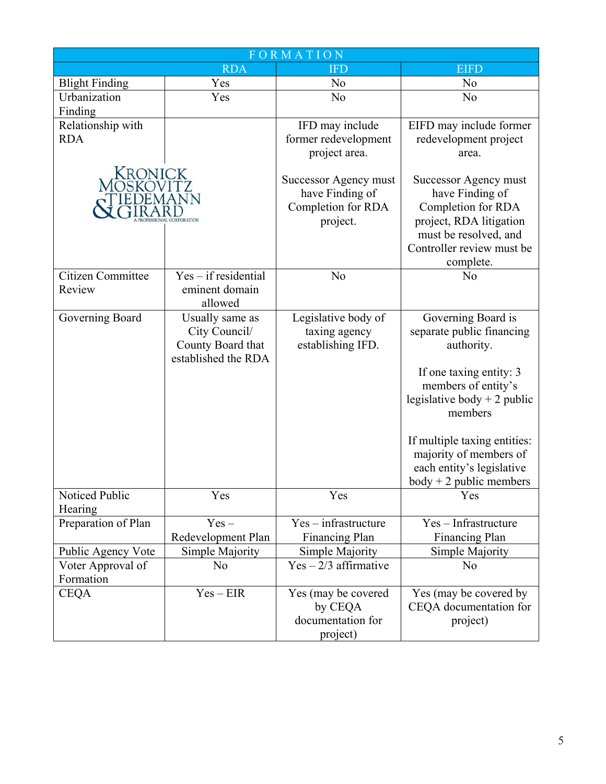| FORMATION             |                           |                                                                            |                                                                                                                                                              |  |
|-----------------------|---------------------------|----------------------------------------------------------------------------|--------------------------------------------------------------------------------------------------------------------------------------------------------------|--|
|                       | <b>RDA</b>                | <b>IFD</b>                                                                 | <b>EIFD</b>                                                                                                                                                  |  |
| <b>Blight Finding</b> | Yes                       | No                                                                         | No                                                                                                                                                           |  |
| Urbanization          | Yes                       | No                                                                         | No                                                                                                                                                           |  |
| Finding               |                           |                                                                            |                                                                                                                                                              |  |
| Relationship with     |                           | IFD may include                                                            | EIFD may include former                                                                                                                                      |  |
| <b>RDA</b>            |                           | former redevelopment                                                       | redevelopment project                                                                                                                                        |  |
|                       |                           | project area.                                                              | area.                                                                                                                                                        |  |
| Kronick               |                           | Successor Agency must<br>have Finding of<br>Completion for RDA<br>project. | Successor Agency must<br>have Finding of<br>Completion for RDA<br>project, RDA litigation<br>must be resolved, and<br>Controller review must be<br>complete. |  |
| Citizen Committee     | $Yes - if residential$    | No                                                                         | No                                                                                                                                                           |  |
| Review                | eminent domain<br>allowed |                                                                            |                                                                                                                                                              |  |
| Governing Board       | Usually same as           | Legislative body of                                                        | Governing Board is                                                                                                                                           |  |
|                       | City Council/             | taxing agency                                                              | separate public financing                                                                                                                                    |  |
|                       | County Board that         | establishing IFD.                                                          | authority.                                                                                                                                                   |  |
|                       | established the RDA       |                                                                            |                                                                                                                                                              |  |
|                       |                           |                                                                            | If one taxing entity: 3<br>members of entity's<br>legislative body $+2$ public<br>members                                                                    |  |
|                       |                           |                                                                            | If multiple taxing entities:<br>majority of members of                                                                                                       |  |
|                       |                           |                                                                            | each entity's legislative<br>$body + 2 public members$                                                                                                       |  |
| Noticed Public        | Yes                       | Yes                                                                        | Yes                                                                                                                                                          |  |
| Hearing               |                           |                                                                            |                                                                                                                                                              |  |
| Preparation of Plan   | $Yes -$                   | $Yes - infrastructure$                                                     | Yes - Infrastructure                                                                                                                                         |  |
|                       | Redevelopment Plan        | Financing Plan                                                             | Financing Plan                                                                                                                                               |  |
| Public Agency Vote    | Simple Majority           | Simple Majority                                                            | Simple Majority                                                                                                                                              |  |
| Voter Approval of     | No                        | $Yes - 2/3$ affirmative                                                    | No                                                                                                                                                           |  |
| Formation             |                           |                                                                            |                                                                                                                                                              |  |
| <b>CEQA</b>           | $Yes - EIR$               | Yes (may be covered<br>by CEQA<br>documentation for                        | Yes (may be covered by<br>CEQA documentation for<br>project)                                                                                                 |  |
|                       |                           | project)                                                                   |                                                                                                                                                              |  |